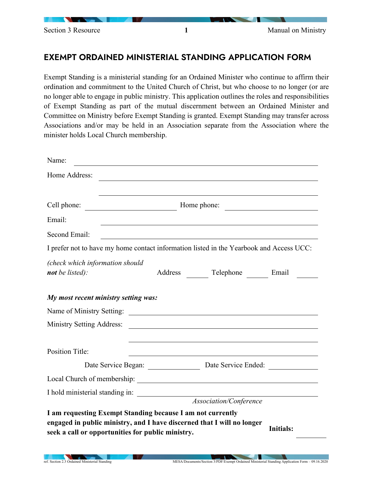

## EXEMPT ORDAINED MINISTERIAL STANDING APPLICATION FORM

Exempt Standing is a ministerial standing for an Ordained Minister who continue to affirm their ordination and commitment to the United Church of Christ, but who choose to no longer (or are no longer able to engage in public ministry. This application outlines the roles and responsibilities of Exempt Standing as part of the mutual discernment between an Ordained Minister and Committee on Ministry before Exempt Standing is granted. Exempt Standing may transfer across Associations and/or may be held in an Association separate from the Association where the minister holds Local Church membership.

| Name:                                                                                                           |             |         |                                                                                         |                  |  |
|-----------------------------------------------------------------------------------------------------------------|-------------|---------|-----------------------------------------------------------------------------------------|------------------|--|
| Home Address:                                                                                                   |             |         |                                                                                         |                  |  |
| Cell phone:                                                                                                     | Home phone: |         |                                                                                         |                  |  |
| Email:                                                                                                          |             |         |                                                                                         |                  |  |
| Second Email:                                                                                                   |             |         |                                                                                         |                  |  |
|                                                                                                                 |             |         | I prefer not to have my home contact information listed in the Yearbook and Access UCC: |                  |  |
| (check which information should<br>not be listed):                                                              |             | Address | Telephone Email                                                                         |                  |  |
| My most recent ministry setting was:                                                                            |             |         |                                                                                         |                  |  |
| Name of Ministry Setting:                                                                                       |             |         |                                                                                         |                  |  |
| <b>Ministry Setting Address:</b>                                                                                |             |         |                                                                                         |                  |  |
| <b>Position Title:</b>                                                                                          |             |         |                                                                                         |                  |  |
|                                                                                                                 |             |         | Date Service Began: Date Service Ended:                                                 |                  |  |
|                                                                                                                 |             |         |                                                                                         |                  |  |
| I hold ministerial standing in:                                                                                 |             |         |                                                                                         |                  |  |
|                                                                                                                 |             |         | Association/Conference                                                                  |                  |  |
| I am requesting Exempt Standing because I am not currently<br>seek a call or opportunities for public ministry. |             |         | engaged in public ministry, and I have discerned that I will no longer                  | <b>Initials:</b> |  |
|                                                                                                                 |             |         |                                                                                         |                  |  |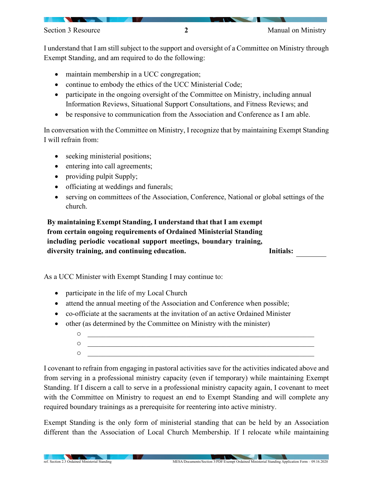I understand that I am still subject to the support and oversight of a Committee on Ministry through Exempt Standing, and am required to do the following:

- maintain membership in a UCC congregation;
- continue to embody the ethics of the UCC Ministerial Code;
- participate in the ongoing oversight of the Committee on Ministry, including annual Information Reviews, Situational Support Consultations, and Fitness Reviews; and
- be responsive to communication from the Association and Conference as I am able.

In conversation with the Committee on Ministry, I recognize that by maintaining Exempt Standing I will refrain from:

- seeking ministerial positions;
- entering into call agreements;
- providing pulpit Supply;
- officiating at weddings and funerals;
- serving on committees of the Association, Conference, National or global settings of the church.

**By maintaining Exempt Standing, I understand that that I am exempt from certain ongoing requirements of Ordained Ministerial Standing including periodic vocational support meetings, boundary training, diversity training, and continuing education. Initials:**

As a UCC Minister with Exempt Standing I may continue to:

- participate in the life of my Local Church
- attend the annual meeting of the Association and Conference when possible;
- co-officiate at the sacraments at the invitation of an active Ordained Minister
- other (as determined by the Committee on Ministry with the minister)
	- o \_\_\_\_\_\_\_\_\_\_\_\_\_\_\_\_\_\_\_\_\_\_\_\_\_\_\_\_\_\_\_\_\_\_\_\_\_\_\_\_\_\_\_\_\_\_\_\_\_\_\_\_\_\_\_\_\_\_\_\_\_\_ o \_\_\_\_\_\_\_\_\_\_\_\_\_\_\_\_\_\_\_\_\_\_\_\_\_\_\_\_\_\_\_\_\_\_\_\_\_\_\_\_\_\_\_\_\_\_\_\_\_\_\_\_\_\_\_\_\_\_\_\_\_\_ o \_\_\_\_\_\_\_\_\_\_\_\_\_\_\_\_\_\_\_\_\_\_\_\_\_\_\_\_\_\_\_\_\_\_\_\_\_\_\_\_\_\_\_\_\_\_\_\_\_\_\_\_\_\_\_\_\_\_\_\_\_\_

I covenant to refrain from engaging in pastoral activities save for the activities indicated above and from serving in a professional ministry capacity (even if temporary) while maintaining Exempt Standing. If I discern a call to serve in a professional ministry capacity again, I covenant to meet with the Committee on Ministry to request an end to Exempt Standing and will complete any required boundary trainings as a prerequisite for reentering into active ministry.

Exempt Standing is the only form of ministerial standing that can be held by an Association different than the Association of Local Church Membership. If I relocate while maintaining